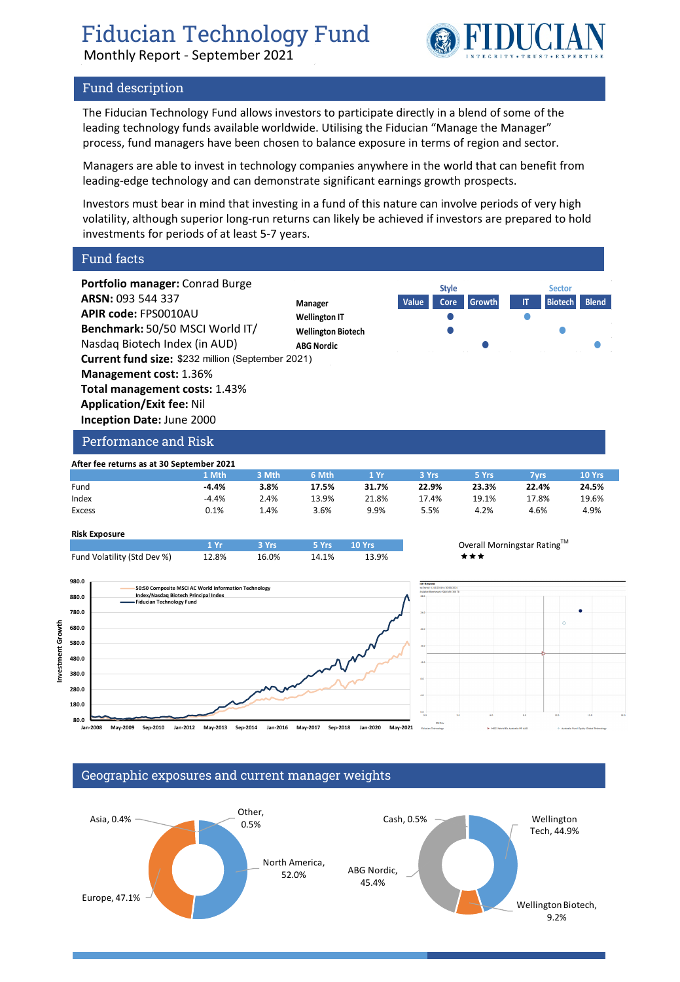Monthly Report - September 2021



## Fund description

The Fiducian Technology Fund allows investors to participate directly in a blend of some of the leading technology funds available worldwide. Utilising the Fiducian "Manage the Manager" process, fund managers have been chosen to balance exposure in terms of region and sector.

Managers are able to invest in technology companies anywhere in the world that can benefit from leading-edge technology and can demonstrate significant earnings growth prospects.

Investors must bear in mind that investing in a fund of this nature can involve periods of very high volatility, although superior long-run returns can likely be achieved if investors are prepared to hold investments for periods of at least 5-7 years.

Fund facts

**Investment Growth**

Investment Growth